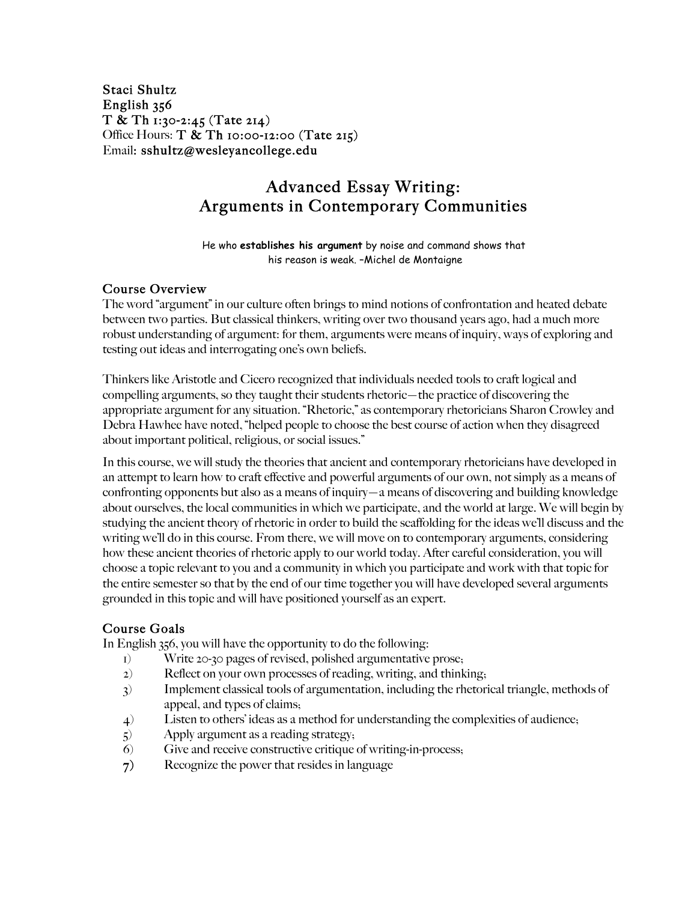Staci Shultz English 356 T & Th 1:30-2:45 (Tate 214) Office Hours:  $T \& Th$  10:00-12:00 (Tate 215) Email: sshultz@wesleyancollege.edu

# Advanced Essay Writing: Arguments in Contemporary Communities

He who **establishes his argument** by noise and command shows that his reason is weak. –Michel de Montaigne

#### Course Overview

The word "argument" in our culture often brings to mind notions of confrontation and heated debate between two parties. But classical thinkers, writing over two thousand years ago, had a much more robust understanding of argument: for them, arguments were means of inquiry, ways of exploring and testing out ideas and interrogating one's own beliefs.

Thinkers like Aristotle and Cicero recognized that individuals needed tools to craft logical and compelling arguments, so they taught their students rhetoric—the practice of discovering the appropriate argument for any situation. "Rhetoric," as contemporary rhetoricians Sharon Crowley and Debra Hawhee have noted, "helped people to choose the best course of action when they disagreed about important political, religious, or social issues."

In this course, we will study the theories that ancient and contemporary rhetoricians have developed in an attempt to learn how to craft effective and powerful arguments of our own, not simply as a means of confronting opponents but also as a means of inquiry—a means of discovering and building knowledge about ourselves, the local communities in which we participate, and the world at large. We will begin by studying the ancient theory of rhetoric in order to build the scaffolding for the ideas we'll discuss and the writing we'll do in this course. From there, we will move on to contemporary arguments, considering how these ancient theories of rhetoric apply to our world today. After careful consideration, you will choose a topic relevant to you and a community in which you participate and work with that topic for the entire semester so that by the end of our time together you will have developed several arguments grounded in this topic and will have positioned yourself as an expert.

## Course Goals

In English 356, you will have the opportunity to do the following:

- 1) Write 20-30 pages of revised, polished argumentative prose;
- 2) Reflect on your own processes of reading, writing, and thinking;
- 3) Implement classical tools of argumentation, including the rhetorical triangle, methods of appeal, and types of claims;
- 4) Listen to others' ideas as a method for understanding the complexities of audience;
- 5) Apply argument as a reading strategy;
- 6) Give and receive constructive critique of writing-in-process;
- 7) Recognize the power that resides in language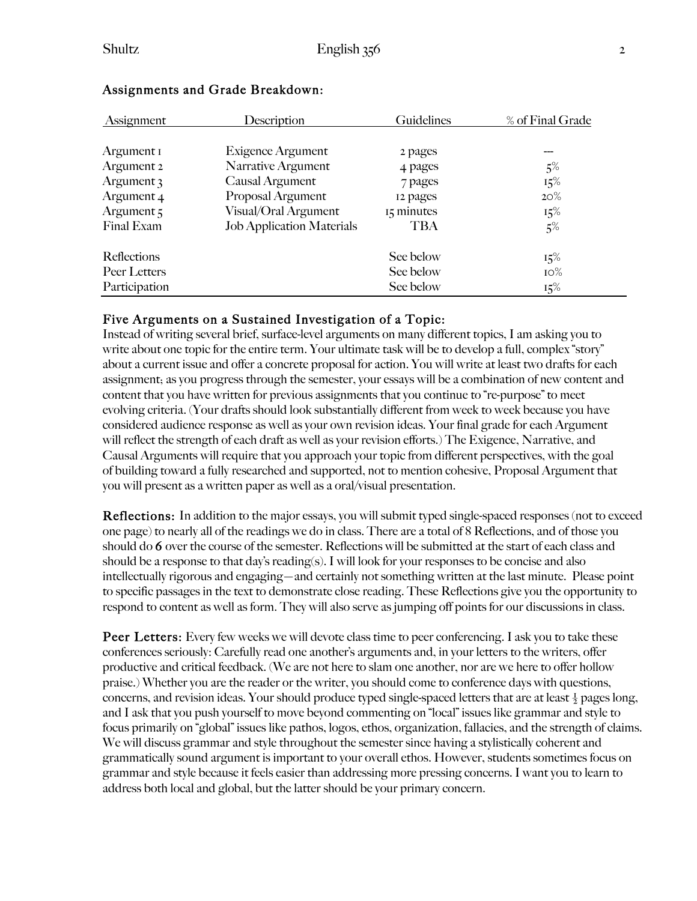| Assignment    | Description                      | Guidelines | % of Final Grade |
|---------------|----------------------------------|------------|------------------|
|               |                                  |            |                  |
| Argument I    | Exigence Argument                | 2 pages    |                  |
| Argument 2    | Narrative Argument               | 4 pages    | $5\%$            |
| Argument 3    | Causal Argument                  | 7 pages    | 15%              |
| Argument 4    | Proposal Argument                | 12 pages   | $20\%$           |
| Argument 5    | Visual/Oral Argument             | 15 minutes | $15\%$           |
| Final Exam    | <b>Job Application Materials</b> | <b>TBA</b> | $5\%$            |
| Reflections   |                                  | See below  | 15%              |
| Peer Letters  |                                  | See below  | $IO\%$           |
| Participation |                                  | See below  | 15%              |

#### Assignments and Grade Breakdown:

#### Five Arguments on a Sustained Investigation of a Topic:

Instead of writing several brief, surface-level arguments on many different topics, I am asking you to write about one topic for the entire term. Your ultimate task will be to develop a full, complex "story" about a current issue and offer a concrete proposal for action. You will write at least two drafts for each assignment; as you progress through the semester, your essays will be a combination of new content and content that you have written for previous assignments that you continue to "re-purpose" to meet evolving criteria. (Your drafts should look substantially different from week to week because you have considered audience response as well as your own revision ideas. Your final grade for each Argument will reflect the strength of each draft as well as your revision efforts.) The Exigence, Narrative, and Causal Arguments will require that you approach your topic from different perspectives, with the goal of building toward a fully researched and supported, not to mention cohesive, Proposal Argument that you will present as a written paper as well as a oral/visual presentation.

**Reflections:** In addition to the major essays, you will submit typed single-spaced responses (not to exceed one page) to nearly all of the readings we do in class. There are a total of 8 Reflections, and of those you should do 6 over the course of the semester. Reflections will be submitted at the start of each class and should be a response to that day's reading(s). I will look for your responses to be concise and also intellectually rigorous and engaging—and certainly not something written at the last minute. Please point to specific passages in the text to demonstrate close reading. These Reflections give you the opportunity to respond to content as well as form. They will also serve as jumping off points for our discussions in class.

**Peer Letters:** Every few weeks we will devote class time to peer conferencing. I ask you to take these conferences seriously: Carefully read one another's arguments and, in your letters to the writers, offer productive and critical feedback. (We are not here to slam one another, nor are we here to offer hollow praise.) Whether you are the reader or the writer, you should come to conference days with questions, concerns, and revision ideas. Your should produce typed single-spaced letters that are at least  $\frac{1}{2}$  pages long, and I ask that you push yourself to move beyond commenting on "local" issues like grammar and style to focus primarily on "global" issues like pathos, logos, ethos, organization, fallacies, and the strength of claims. We will discuss grammar and style throughout the semester since having a stylistically coherent and grammatically sound argument is important to your overall ethos. However, students sometimes focus on grammar and style because it feels easier than addressing more pressing concerns. I want you to learn to address both local and global, but the latter should be your primary concern.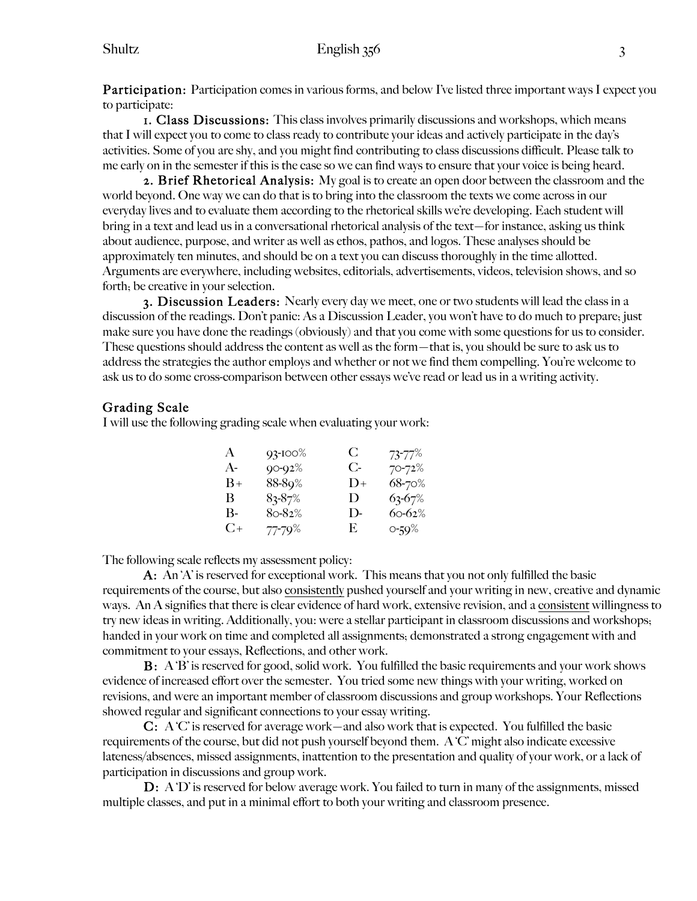**Participation:** Participation comes in various forms, and below I've listed three important ways I expect you to participate:

1. Class Discussions: This class involves primarily discussions and workshops, which means that I will expect you to come to class ready to contribute your ideas and actively participate in the day's activities. Some of you are shy, and you might find contributing to class discussions difficult. Please talk to me early on in the semester if this is the case so we can find ways to ensure that your voice is being heard.

2. Brief Rhetorical Analysis: My goal is to create an open door between the classroom and the world beyond. One way we can do that is to bring into the classroom the texts we come across in our everyday lives and to evaluate them according to the rhetorical skills we're developing. Each student will bring in a text and lead us in a conversational rhetorical analysis of the text—for instance, asking us think about audience, purpose, and writer as well as ethos, pathos, and logos. These analyses should be approximately ten minutes, and should be on a text you can discuss thoroughly in the time allotted. Arguments are everywhere, including websites, editorials, advertisements, videos, television shows, and so forth; be creative in your selection.

3. Discussion Leaders: Nearly every day we meet, one or two students will lead the class in a discussion of the readings. Don't panic: As a Discussion Leader, you won't have to do much to prepare; just make sure you have done the readings (obviously) and that you come with some questions for us to consider. These questions should address the content as well as the form—that is, you should be sure to ask us to address the strategies the author employs and whether or not we find them compelling. You're welcome to ask us to do some cross-comparison between other essays we've read or lead us in a writing activity.

## Grading Scale

I will use the following grading scale when evaluating your work:

| A         | $93 - 100%$ | C            | $73 - 77%$ |
|-----------|-------------|--------------|------------|
| A-        | $90 - 92%$  | $C$ -        | $70 - 72%$ |
| B+        | 88-89%      | $1) +$       | $68 - 70%$ |
| B         | $83 - 87%$  | $\mathbf{D}$ | $63 - 67%$ |
| В-        | $8o-82%$    | $\mathbf{D}$ | $60 - 62%$ |
| $C_{\pm}$ | 77-79%      | E.           | 0-59%      |

The following scale reflects my assessment policy:

A: An 'A' is reserved for exceptional work. This means that you not only fulfilled the basic requirements of the course, but also consistently pushed yourself and your writing in new, creative and dynamic ways. An A signifies that there is clear evidence of hard work, extensive revision, and a consistent willingness to try new ideas in writing. Additionally, you: were a stellar participant in classroom discussions and workshops; handed in your work on time and completed all assignments; demonstrated a strong engagement with and commitment to your essays, Reflections, and other work.

B: A 'B' is reserved for good, solid work. You fulfilled the basic requirements and your work shows evidence of increased effort over the semester. You tried some new things with your writing, worked on revisions, and were an important member of classroom discussions and group workshops. Your Reflections showed regular and significant connections to your essay writing.

C: A 'C' is reserved for average work—and also work that is expected. You fulfilled the basic requirements of the course, but did not push yourself beyond them. A 'C' might also indicate excessive lateness/absences, missed assignments, inattention to the presentation and quality of your work, or a lack of participation in discussions and group work.

D: A 'D' is reserved for below average work. You failed to turn in many of the assignments, missed multiple classes, and put in a minimal effort to both your writing and classroom presence.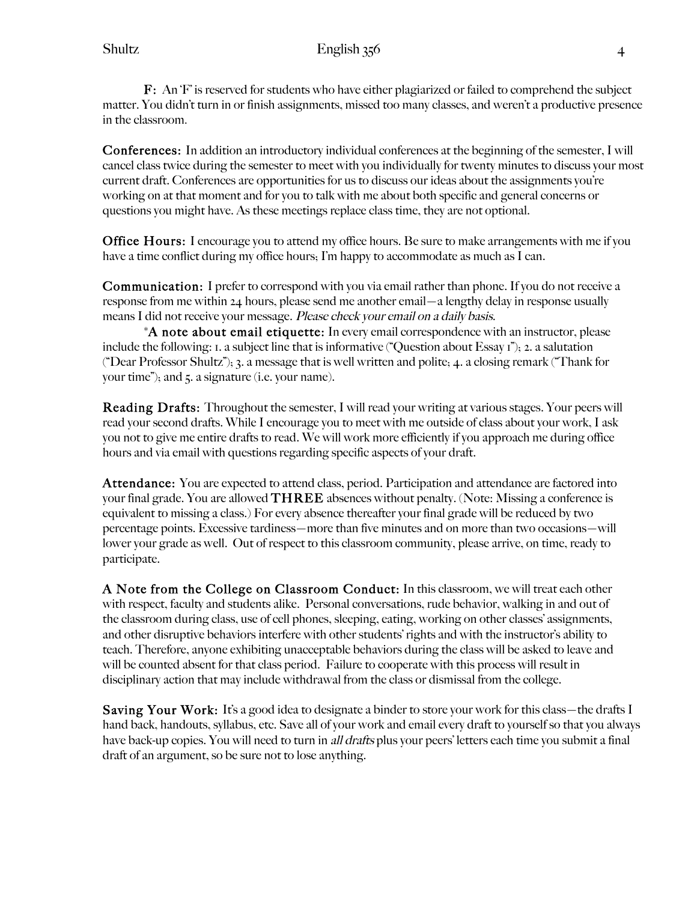F: An 'F' is reserved for students who have either plagiarized or failed to comprehend the subject matter. You didn't turn in or finish assignments, missed too many classes, and weren't a productive presence in the classroom.

Conferences: In addition an introductory individual conferences at the beginning of the semester, I will cancel class twice during the semester to meet with you individually for twenty minutes to discuss your most current draft. Conferences are opportunities for us to discuss our ideas about the assignments you're working on at that moment and for you to talk with me about both specific and general concerns or questions you might have. As these meetings replace class time, they are not optional.

**Office Hours:** I encourage you to attend my office hours. Be sure to make arrangements with me if you have a time conflict during my office hours; I'm happy to accommodate as much as I can.

Communication: I prefer to correspond with you via email rather than phone. If you do not receive a response from me within 24 hours, please send me another email—a lengthy delay in response usually means I did not receive your message. Please check your email on a daily basis.

\*A note about email etiquette: In every email correspondence with an instructor, please include the following: 1. a subject line that is informative ("Question about Essay 1"); 2. a salutation ("Dear Professor Shultz"); 3. a message that is well written and polite; 4. a closing remark ("Thank for your time"); and 5. a signature (i.e. your name).

Reading Drafts: Throughout the semester, I will read your writing at various stages. Your peers will read your second drafts. While I encourage you to meet with me outside of class about your work, I ask you not to give me entire drafts to read. We will work more efficiently if you approach me during office hours and via email with questions regarding specific aspects of your draft.

Attendance: You are expected to attend class, period. Participation and attendance are factored into your final grade. You are allowed  $THREE$  absences without penalty. (Note: Missing a conference is equivalent to missing a class.) For every absence thereafter your final grade will be reduced by two percentage points. Excessive tardiness—more than five minutes and on more than two occasions—will lower your grade as well. Out of respect to this classroom community, please arrive, on time, ready to participate.

A Note from the College on Classroom Conduct: In this classroom, we will treat each other with respect, faculty and students alike. Personal conversations, rude behavior, walking in and out of the classroom during class, use of cell phones, sleeping, eating, working on other classes' assignments, and other disruptive behaviors interfere with other students' rights and with the instructor's ability to teach. Therefore, anyone exhibiting unacceptable behaviors during the class will be asked to leave and will be counted absent for that class period. Failure to cooperate with this process will result in disciplinary action that may include withdrawal from the class or dismissal from the college.

Saving Your Work: It's a good idea to designate a binder to store your work for this class—the drafts I hand back, handouts, syllabus, etc. Save all of your work and email every draft to yourself so that you always have back-up copies. You will need to turn in *all drafts* plus your peers' letters each time you submit a final draft of an argument, so be sure not to lose anything.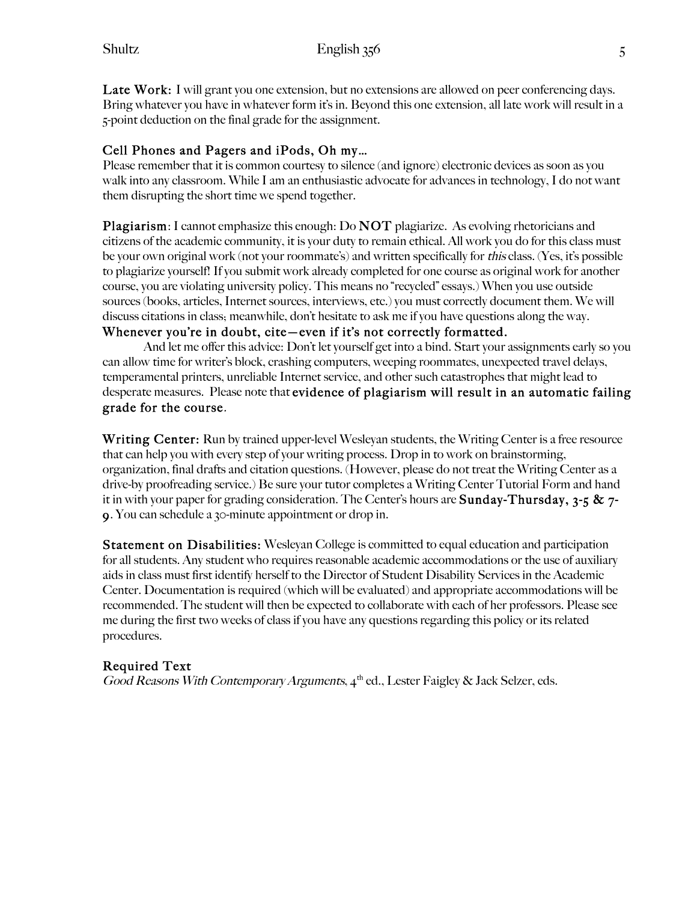Late Work: I will grant you one extension, but no extensions are allowed on peer conferencing days. Bring whatever you have in whatever form it's in. Beyond this one extension, all late work will result in a 5-point deduction on the final grade for the assignment.

## Cell Phones and Pagers and iPods, Oh my…

Please remember that it is common courtesy to silence (and ignore) electronic devices as soon as you walk into any classroom. While I am an enthusiastic advocate for advances in technology, I do not want them disrupting the short time we spend together.

Plagiarism: I cannot emphasize this enough: Do NOT plagiarize. As evolving rhetoricians and citizens of the academic community, it is your duty to remain ethical. All work you do for this class must be your own original work (not your roommate's) and written specifically for this class. (Yes, it's possible to plagiarize yourself! If you submit work already completed for one course as original work for another course, you are violating university policy. This means no "recycled" essays.) When you use outside sources (books, articles, Internet sources, interviews, etc.) you must correctly document them. We will discuss citations in class; meanwhile, don't hesitate to ask me if you have questions along the way. Whenever you're in doubt, cite—even if it's not correctly formatted.

And let me offer this advice: Don't let yourself get into a bind. Start your assignments early so you can allow time for writer's block, crashing computers, weeping roommates, unexpected travel delays, temperamental printers, unreliable Internet service, and other such catastrophes that might lead to desperate measures. Please note that evidence of plagiarism will result in an automatic failing grade for the course.

Writing Center: Run by trained upper-level Wesleyan students, the Writing Center is a free resource that can help you with every step of your writing process. Drop in to work on brainstorming, organization, final drafts and citation questions. (However, please do not treat the Writing Center as a drive-by proofreading service.) Be sure your tutor completes a Writing Center Tutorial Form and hand it in with your paper for grading consideration. The Center's hours are **Sunday-Thursday, 3-5 & 7-**9. You can schedule a 30-minute appointment or drop in.

**Statement on Disabilities:** Wesleyan College is committed to equal education and participation for all students. Any student who requires reasonable academic accommodations or the use of auxiliary aids in class must first identify herself to the Director of Student Disability Services in the Academic Center. Documentation is required (which will be evaluated) and appropriate accommodations will be recommended. The student will then be expected to collaborate with each of her professors. Please see me during the first two weeks of class if you have any questions regarding this policy or its related procedures.

## Required Text

Good Reasons With Contemporary Arguments,  $4^{\text{th}}$  ed., Lester Faigley & Jack Selzer, eds.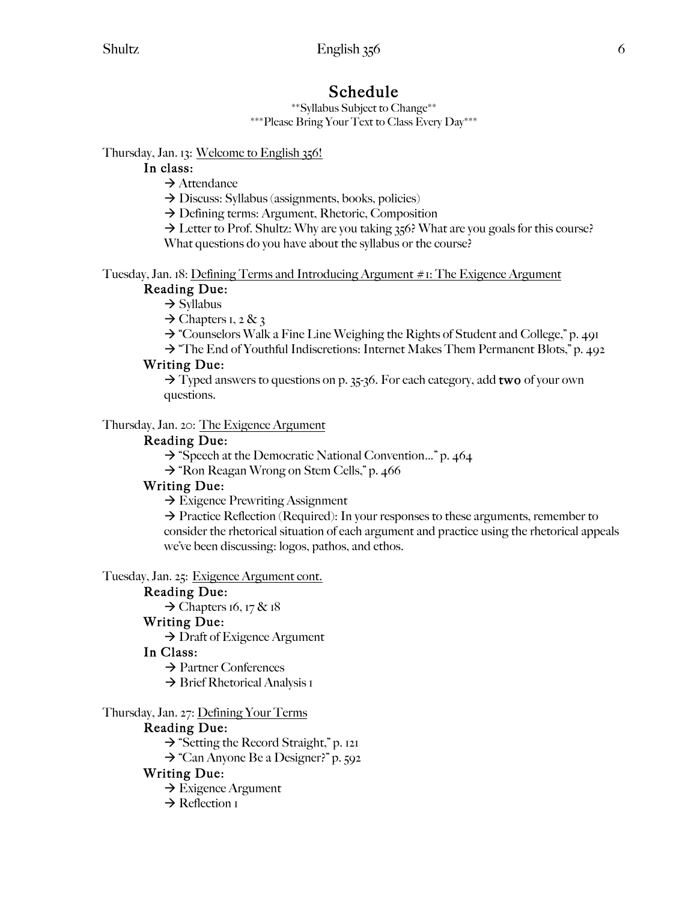Schedule \*\*Syllabus Subject to Change\*\* \*\*\*Please Bring Your Text to Class Every Day\*\*\*

Thursday, Jan. 13: Welcome to English 356!

# In class:

 $\rightarrow$  Attendance

 $\rightarrow$  Discuss: Syllabus (assignments, books, policies)

 $\rightarrow$  Defining terms: Argument, Rhetoric, Composition

 $\rightarrow$  Letter to Prof. Shultz: Why are you taking 356? What are you goals for this course?

What questions do you have about the syllabus or the course?

Tuesday, Jan. 18: Defining Terms and Introducing Argument #1: The Exigence Argument Reading Due:

 $\rightarrow$  Syllabus

 $\rightarrow$  Chapters 1, 2 & 3

 $\rightarrow$  "Counselors Walk a Fine Line Weighing the Rights of Student and College," p. 491

 $\rightarrow$  "The End of Youthful Indiscretions: Internet Makes Them Permanent Blots," p. 492

# Writing Due:

 $\rightarrow$  Typed answers to questions on p. 35-36. For each category, add two of your own questions.

Thursday, Jan. 20: The Exigence Argument

# Reading Due:

 $\rightarrow$  "Speech at the Democratic National Convention..." p. 464

 $\rightarrow$  "Ron Reagan Wrong on Stem Cells," p. 466

# Writing Due:

 $\rightarrow$  Exigence Prewriting Assignment

 $\rightarrow$  Practice Reflection (Required): In your responses to these arguments, remember to consider the rhetorical situation of each argument and practice using the rhetorical appeals we've been discussing: logos, pathos, and ethos.

Tuesday, Jan. 25: Exigence Argument cont.

# Reading Due:

 $\rightarrow$  Chapters 16, 17 & 18

# Writing Due:

 $\rightarrow$  Draft of Exigence Argument

# In Class:

 $\rightarrow$  Partner Conferences

 $\rightarrow$  Brief Rhetorical Analysis 1

# Thursday, Jan. 27: Defining Your Terms

## Reading Due:

 $\rightarrow$  "Setting the Record Straight," p. 121

 $\rightarrow$  "Can Anyone Be a Designer?" p. 592

# Writing Due:

 $\rightarrow$  Exigence Argument

 $\rightarrow$  Reflection 1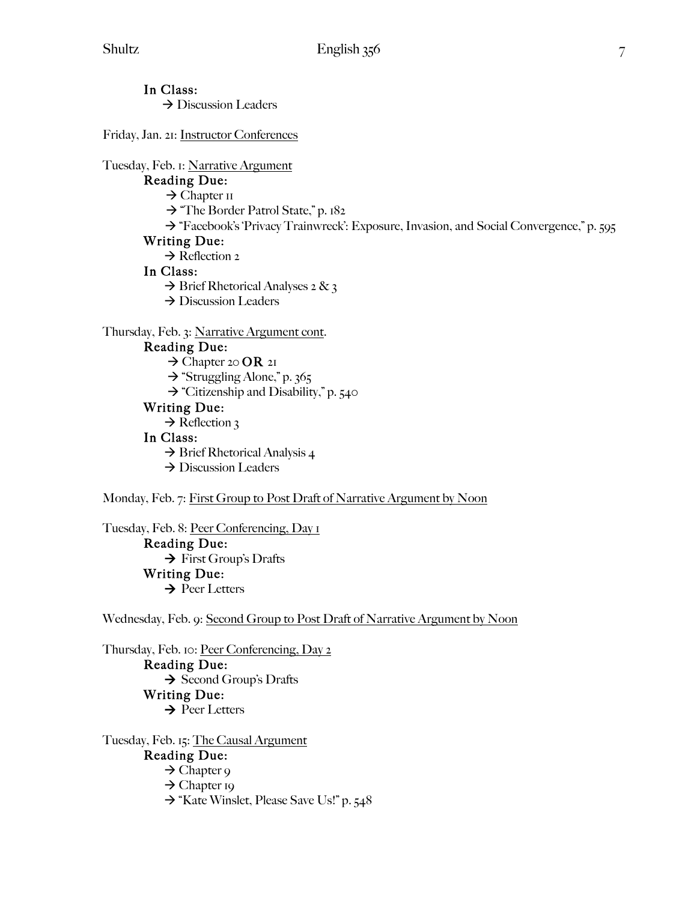In Class:  $\rightarrow$  Discussion Leaders

Friday, Jan. 21: Instructor Conferences

Tuesday, Feb. 1: Narrative Argument

# Reading Due:

 $\rightarrow$  Chapter II

 $\rightarrow$  "The Border Patrol State," p. 182

 $\rightarrow$  "Facebook's 'Privacy Trainwreck': Exposure, Invasion, and Social Convergence," p. 595 Writing Due:

# $\rightarrow$  Reflection 2

# In Class:

- $\rightarrow$  Brief Rhetorical Analyses 2 & 3
- → Discussion Leaders

#### Thursday, Feb. 3: Narrative Argument cont.

### Reading Due:

 $\rightarrow$  Chapter 20 **OR** 21

- $\rightarrow$  "Struggling Alone," p. 365
- $\rightarrow$  "Citizenship and Disability," p. 540

## Writing Due:

 $\rightarrow$  Reflection 3

#### In Class:

 $\rightarrow$  Brief Rhetorical Analysis 4

 $\rightarrow$  Discussion Leaders

#### Monday, Feb. 7: First Group to Post Draft of Narrative Argument by Noon

Tuesday, Feb. 8: Peer Conferencing, Day 1

 Reading Due:  $\rightarrow$  First Group's Drafts Writing Due:  $\rightarrow$  Peer Letters

Wednesday, Feb. 9: Second Group to Post Draft of Narrative Argument by Noon

Thursday, Feb. 10: Peer Conferencing, Day 2 Reading Due:  $\rightarrow$  Second Group's Drafts Writing Due:  $\rightarrow$  Peer Letters

Tuesday, Feb. 15: The Causal Argument Reading Due:

- $\rightarrow$  Chapter 9
- $\rightarrow$  Chapter 19
- → "Kate Winslet, Please Save Us!" p. 548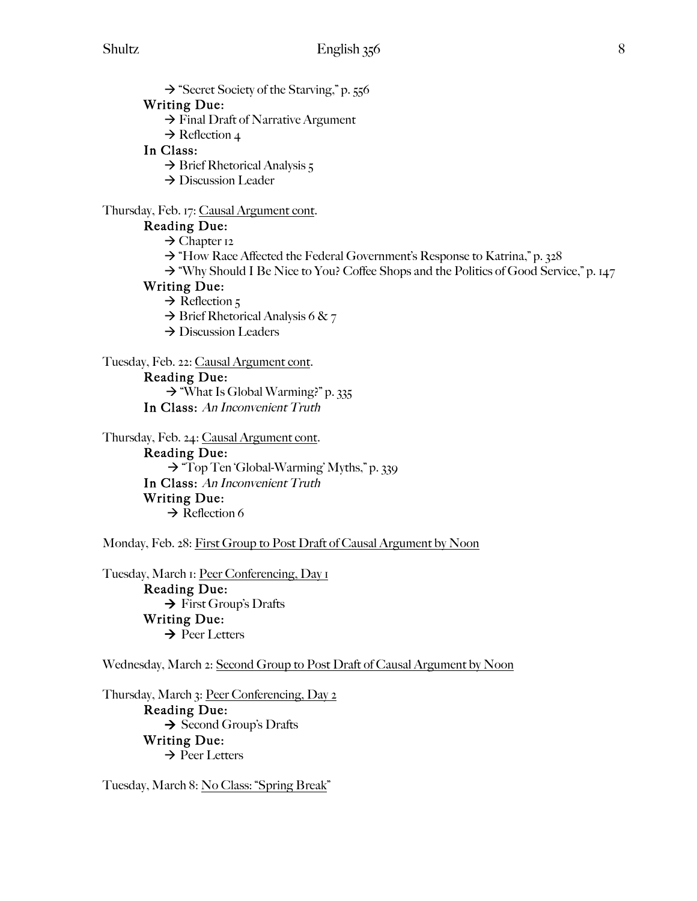$\rightarrow$  "Secret Society of the Starving," p. 556

#### Writing Due:

- $\rightarrow$  Final Draft of Narrative Argument
- $\rightarrow$  Reflection 4

## In Class:

- $\rightarrow$  Brief Rhetorical Analysis 5
- $\rightarrow$  Discussion Leader

#### Thursday, Feb. 17: Causal Argument cont.

## Reading Due:

- $\rightarrow$  Chapter 12
- $\rightarrow$  "How Race Affected the Federal Government's Response to Katrina," p. 328
- $\rightarrow$  "Why Should I Be Nice to You? Coffee Shops and the Politics of Good Service," p. 147

#### Writing Due:

- $\rightarrow$  Reflection 5
- $\rightarrow$  Brief Rhetorical Analysis 6 & 7
- $\rightarrow$  Discussion Leaders

## Tuesday, Feb. 22: Causal Argument cont.

## Reading Due:

 $\rightarrow$  "What Is Global Warming?" p. 335

In Class: An Inconvenient Truth

Thursday, Feb. 24: Causal Argument cont.

Reading Due:  $\rightarrow$  "Top Ten 'Global-Warming' Myths," p. 339 In Class: An Inconvenient Truth Writing Due:  $\rightarrow$  Reflection 6

Monday, Feb. 28: First Group to Post Draft of Causal Argument by Noon

Tuesday, March 1: Peer Conferencing, Day 1

 Reading Due:  $\rightarrow$  First Group's Drafts Writing Due:  $\rightarrow$  Peer Letters

Wednesday, March 2: Second Group to Post Draft of Causal Argument by Noon

Thursday, March 3: Peer Conferencing, Day 2 Reading Due:  $\rightarrow$  Second Group's Drafts Writing Due:  $\rightarrow$  Peer Letters

Tuesday, March 8: No Class: "Spring Break"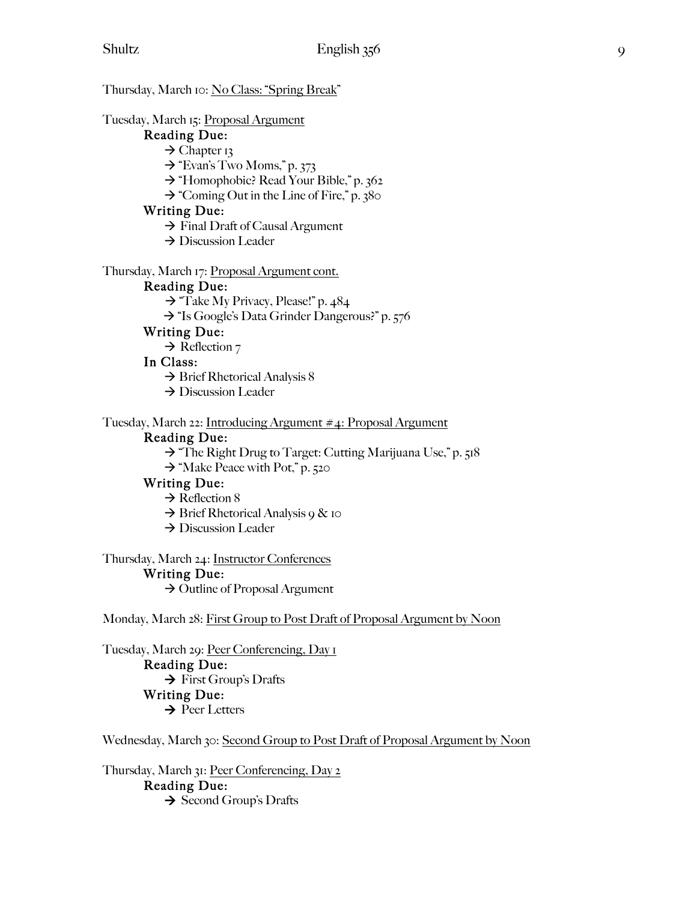Thursday, March 10: No Class: "Spring Break" Tuesday, March 15: Proposal Argument Reading Due:  $\rightarrow$  Chapter 13  $\rightarrow$  "Evan's Two Moms," p. 373 → "Homophobic? Read Your Bible," p. 362  $\rightarrow$  "Coming Out in the Line of Fire," p. 380 Writing Due:  $\rightarrow$  Final Draft of Causal Argument → Discussion Leader Thursday, March 17: Proposal Argument cont. Reading Due:  $\rightarrow$  "Take My Privacy, Please!" p. 484 → "Is Google's Data Grinder Dangerous?" p. 576 Writing Due:  $\rightarrow$  Reflection 7 In Class:  $\rightarrow$  Brief Rhetorical Analysis 8  $\rightarrow$  Discussion Leader Tuesday, March 22: Introducing Argument #4: Proposal Argument Reading Due:

 $\rightarrow$  "The Right Drug to Target: Cutting Marijuana Use," p. 518

 $\rightarrow$  "Make Peace with Pot," p. 520

#### Writing Due:

 $\rightarrow$  Reflection 8

 $\rightarrow$  Brief Rhetorical Analysis 9 & 10

 $\rightarrow$  Discussion Leader

Thursday, March 24: Instructor Conferences

#### Writing Due:

 $\rightarrow$  Outline of Proposal Argument

Monday, March 28: First Group to Post Draft of Proposal Argument by Noon

Tuesday, March 29: Peer Conferencing, Day 1

 Reading Due:  $\rightarrow$  First Group's Drafts Writing Due:  $\rightarrow$  Peer Letters

Wednesday, March 30: Second Group to Post Draft of Proposal Argument by Noon

Thursday, March 31: Peer Conferencing, Day 2

#### Reading Due:

 $\rightarrow$  Second Group's Drafts